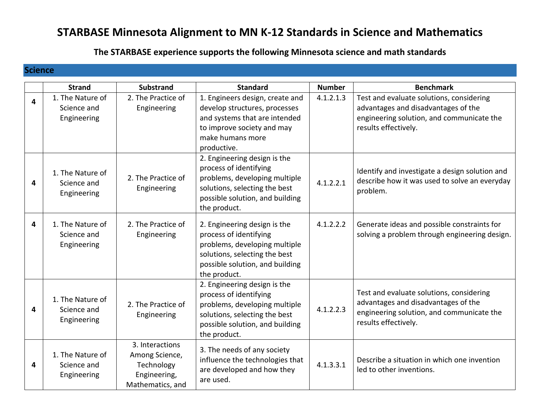## **STARBASE Minnesota Alignment to MN K-12 Standards in Science and Mathematics**

## **The STARBASE experience supports the following Minnesota science and math standards**

## **Science**

|   | <b>Strand</b>                                  | <b>Substrand</b>                                                                    | <b>Standard</b>                                                                                                                                                             | <b>Number</b> | <b>Benchmark</b>                                                                                                                                     |
|---|------------------------------------------------|-------------------------------------------------------------------------------------|-----------------------------------------------------------------------------------------------------------------------------------------------------------------------------|---------------|------------------------------------------------------------------------------------------------------------------------------------------------------|
| 4 | 1. The Nature of<br>Science and<br>Engineering | 2. The Practice of<br>Engineering                                                   | 1. Engineers design, create and<br>develop structures, processes<br>and systems that are intended<br>to improve society and may<br>make humans more<br>productive.          | 4.1.2.1.3     | Test and evaluate solutions, considering<br>advantages and disadvantages of the<br>engineering solution, and communicate the<br>results effectively. |
| 4 | 1. The Nature of<br>Science and<br>Engineering | 2. The Practice of<br>Engineering                                                   | 2. Engineering design is the<br>process of identifying<br>problems, developing multiple<br>solutions, selecting the best<br>possible solution, and building<br>the product. | 4.1.2.2.1     | Identify and investigate a design solution and<br>describe how it was used to solve an everyday<br>problem.                                          |
| 4 | 1. The Nature of<br>Science and<br>Engineering | 2. The Practice of<br>Engineering                                                   | 2. Engineering design is the<br>process of identifying<br>problems, developing multiple<br>solutions, selecting the best<br>possible solution, and building<br>the product. | 4.1.2.2.2     | Generate ideas and possible constraints for<br>solving a problem through engineering design.                                                         |
| 4 | 1. The Nature of<br>Science and<br>Engineering | 2. The Practice of<br>Engineering                                                   | 2. Engineering design is the<br>process of identifying<br>problems, developing multiple<br>solutions, selecting the best<br>possible solution, and building<br>the product. | 4.1.2.2.3     | Test and evaluate solutions, considering<br>advantages and disadvantages of the<br>engineering solution, and communicate the<br>results effectively. |
| 4 | 1. The Nature of<br>Science and<br>Engineering | 3. Interactions<br>Among Science,<br>Technology<br>Engineering,<br>Mathematics, and | 3. The needs of any society<br>influence the technologies that<br>are developed and how they<br>are used.                                                                   | 4.1.3.3.1     | Describe a situation in which one invention<br>led to other inventions.                                                                              |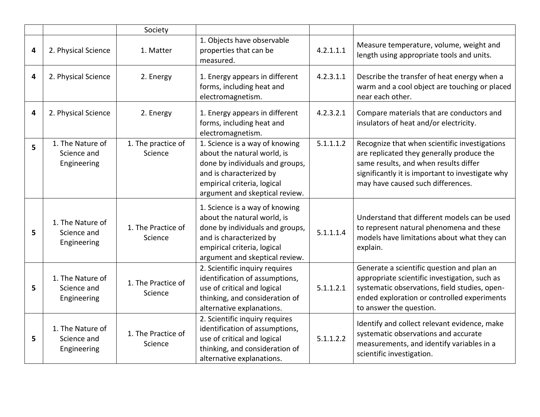|   |                                                | Society                       |                                                                                                                                                                                              |           |                                                                                                                                                                                                                              |
|---|------------------------------------------------|-------------------------------|----------------------------------------------------------------------------------------------------------------------------------------------------------------------------------------------|-----------|------------------------------------------------------------------------------------------------------------------------------------------------------------------------------------------------------------------------------|
| 4 | 2. Physical Science                            | 1. Matter                     | 1. Objects have observable<br>properties that can be<br>measured.                                                                                                                            | 4.2.1.1.1 | Measure temperature, volume, weight and<br>length using appropriate tools and units.                                                                                                                                         |
| 4 | 2. Physical Science                            | 2. Energy                     | 1. Energy appears in different<br>forms, including heat and<br>electromagnetism.                                                                                                             | 4.2.3.1.1 | Describe the transfer of heat energy when a<br>warm and a cool object are touching or placed<br>near each other.                                                                                                             |
| 4 | 2. Physical Science                            | 2. Energy                     | 1. Energy appears in different<br>forms, including heat and<br>electromagnetism.                                                                                                             | 4.2.3.2.1 | Compare materials that are conductors and<br>insulators of heat and/or electricity.                                                                                                                                          |
| 5 | 1. The Nature of<br>Science and<br>Engineering | 1. The practice of<br>Science | 1. Science is a way of knowing<br>about the natural world, is<br>done by individuals and groups,<br>and is characterized by<br>empirical criteria, logical<br>argument and skeptical review. | 5.1.1.1.2 | Recognize that when scientific investigations<br>are replicated they generally produce the<br>same results, and when results differ<br>significantly it is important to investigate why<br>may have caused such differences. |
| 5 | 1. The Nature of<br>Science and<br>Engineering | 1. The Practice of<br>Science | 1. Science is a way of knowing<br>about the natural world, is<br>done by individuals and groups,<br>and is characterized by<br>empirical criteria, logical<br>argument and skeptical review. | 5.1.1.1.4 | Understand that different models can be used<br>to represent natural phenomena and these<br>models have limitations about what they can<br>explain.                                                                          |
| 5 | 1. The Nature of<br>Science and<br>Engineering | 1. The Practice of<br>Science | 2. Scientific inquiry requires<br>identification of assumptions,<br>use of critical and logical<br>thinking, and consideration of<br>alternative explanations.                               | 5.1.1.2.1 | Generate a scientific question and plan an<br>appropriate scientific investigation, such as<br>systematic observations, field studies, open-<br>ended exploration or controlled experiments<br>to answer the question.       |
| 5 | 1. The Nature of<br>Science and<br>Engineering | 1. The Practice of<br>Science | 2. Scientific inquiry requires<br>identification of assumptions,<br>use of critical and logical<br>thinking, and consideration of<br>alternative explanations.                               | 5.1.1.2.2 | Identify and collect relevant evidence, make<br>systematic observations and accurate<br>measurements, and identify variables in a<br>scientific investigation.                                                               |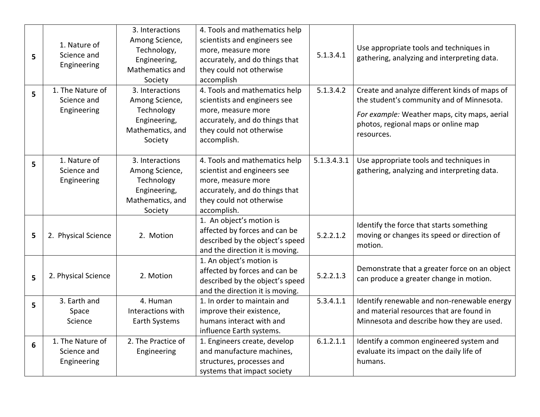| 5 | 1. Nature of<br>Science and<br>Engineering<br>1. The Nature of | 3. Interactions<br>Among Science,<br>Technology,<br>Engineering,<br>Mathematics and<br>Society<br>3. Interactions | 4. Tools and mathematics help<br>scientists and engineers see<br>more, measure more<br>accurately, and do things that<br>they could not otherwise<br>accomplish<br>4. Tools and mathematics help | 5.1.3.4.1<br>5.1.3.4.2 | Use appropriate tools and techniques in<br>gathering, analyzing and interpreting data.<br>Create and analyze different kinds of maps of |
|---|----------------------------------------------------------------|-------------------------------------------------------------------------------------------------------------------|--------------------------------------------------------------------------------------------------------------------------------------------------------------------------------------------------|------------------------|-----------------------------------------------------------------------------------------------------------------------------------------|
| 5 | Science and                                                    | Among Science,                                                                                                    | scientists and engineers see                                                                                                                                                                     |                        | the student's community and of Minnesota.                                                                                               |
|   | Engineering                                                    | Technology<br>Engineering,<br>Mathematics, and<br>Society                                                         | more, measure more<br>accurately, and do things that<br>they could not otherwise<br>accomplish.                                                                                                  |                        | For example: Weather maps, city maps, aerial<br>photos, regional maps or online map<br>resources.                                       |
| 5 | 1. Nature of<br>Science and<br>Engineering                     | 3. Interactions<br>Among Science,<br>Technology<br>Engineering,<br>Mathematics, and<br>Society                    | 4. Tools and mathematics help<br>scientist and engineers see<br>more, measure more<br>accurately, and do things that<br>they could not otherwise<br>accomplish.                                  | 5.1.3.4.3.1            | Use appropriate tools and techniques in<br>gathering, analyzing and interpreting data.                                                  |
| 5 | 2. Physical Science                                            | 2. Motion                                                                                                         | 1. An object's motion is<br>affected by forces and can be<br>described by the object's speed<br>and the direction it is moving.                                                                  | 5.2.2.1.2              | Identify the force that starts something<br>moving or changes its speed or direction of<br>motion.                                      |
| 5 | 2. Physical Science                                            | 2. Motion                                                                                                         | 1. An object's motion is<br>affected by forces and can be<br>described by the object's speed<br>and the direction it is moving.                                                                  | 5.2.2.1.3              | Demonstrate that a greater force on an object<br>can produce a greater change in motion.                                                |
| 5 | 3. Earth and<br>Space                                          | 4. Human<br>Interactions with                                                                                     | 1. In order to maintain and<br>improve their existence,                                                                                                                                          | 5.3.4.1.1              | Identify renewable and non-renewable energy<br>and material resources that are found in                                                 |
|   | Science                                                        | Earth Systems                                                                                                     | humans interact with and<br>influence Earth systems.                                                                                                                                             |                        | Minnesota and describe how they are used.                                                                                               |
| 6 | 1. The Nature of<br>Science and<br>Engineering                 | 2. The Practice of<br>Engineering                                                                                 | 1. Engineers create, develop<br>and manufacture machines,<br>structures, processes and<br>systems that impact society                                                                            | 6.1.2.1.1              | Identify a common engineered system and<br>evaluate its impact on the daily life of<br>humans.                                          |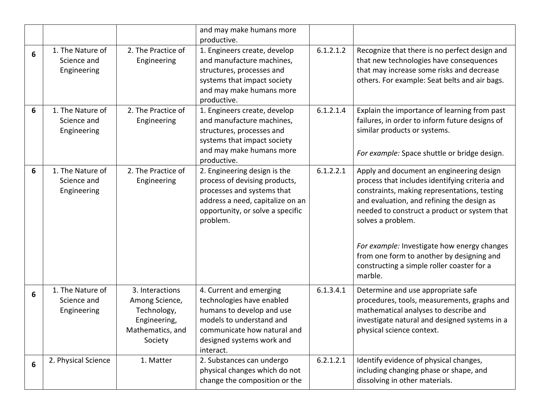|   |                                                |                                                                                                 | and may make humans more<br>productive.                                                                                                                                                |           |                                                                                                                                                                                                                                                                                                                                                                                                                    |
|---|------------------------------------------------|-------------------------------------------------------------------------------------------------|----------------------------------------------------------------------------------------------------------------------------------------------------------------------------------------|-----------|--------------------------------------------------------------------------------------------------------------------------------------------------------------------------------------------------------------------------------------------------------------------------------------------------------------------------------------------------------------------------------------------------------------------|
| 6 | 1. The Nature of<br>Science and<br>Engineering | 2. The Practice of<br>Engineering                                                               | 1. Engineers create, develop<br>and manufacture machines,<br>structures, processes and<br>systems that impact society<br>and may make humans more<br>productive.                       | 6.1.2.1.2 | Recognize that there is no perfect design and<br>that new technologies have consequences<br>that may increase some risks and decrease<br>others. For example: Seat belts and air bags.                                                                                                                                                                                                                             |
| 6 | 1. The Nature of<br>Science and<br>Engineering | 2. The Practice of<br>Engineering                                                               | 1. Engineers create, develop<br>and manufacture machines,<br>structures, processes and<br>systems that impact society<br>and may make humans more<br>productive.                       | 6.1.2.1.4 | Explain the importance of learning from past<br>failures, in order to inform future designs of<br>similar products or systems.<br>For example: Space shuttle or bridge design.                                                                                                                                                                                                                                     |
| 6 | 1. The Nature of<br>Science and<br>Engineering | 2. The Practice of<br>Engineering                                                               | 2. Engineering design is the<br>process of devising products,<br>processes and systems that<br>address a need, capitalize on an<br>opportunity, or solve a specific<br>problem.        | 6.1.2.2.1 | Apply and document an engineering design<br>process that includes identifying criteria and<br>constraints, making representations, testing<br>and evaluation, and refining the design as<br>needed to construct a product or system that<br>solves a problem.<br>For example: Investigate how energy changes<br>from one form to another by designing and<br>constructing a simple roller coaster for a<br>marble. |
| 6 | 1. The Nature of<br>Science and<br>Engineering | 3. Interactions<br>Among Science,<br>Technology,<br>Engineering,<br>Mathematics, and<br>Society | 4. Current and emerging<br>technologies have enabled<br>humans to develop and use<br>models to understand and<br>communicate how natural and<br>designed systems work and<br>interact. | 6.1.3.4.1 | Determine and use appropriate safe<br>procedures, tools, measurements, graphs and<br>mathematical analyses to describe and<br>investigate natural and designed systems in a<br>physical science context.                                                                                                                                                                                                           |
| 6 | 2. Physical Science                            | 1. Matter                                                                                       | 2. Substances can undergo<br>physical changes which do not<br>change the composition or the                                                                                            | 6.2.1.2.1 | Identify evidence of physical changes,<br>including changing phase or shape, and<br>dissolving in other materials.                                                                                                                                                                                                                                                                                                 |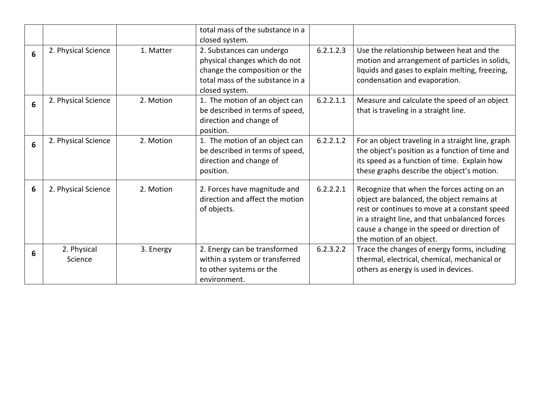|   |                        |           | total mass of the substance in a<br>closed system.                                                                                                |           |                                                                                                                                                                                                                                                                         |
|---|------------------------|-----------|---------------------------------------------------------------------------------------------------------------------------------------------------|-----------|-------------------------------------------------------------------------------------------------------------------------------------------------------------------------------------------------------------------------------------------------------------------------|
| 6 | 2. Physical Science    | 1. Matter | 2. Substances can undergo<br>physical changes which do not<br>change the composition or the<br>total mass of the substance in a<br>closed system. | 6.2.1.2.3 | Use the relationship between heat and the<br>motion and arrangement of particles in solids,<br>liquids and gases to explain melting, freezing,<br>condensation and evaporation.                                                                                         |
| 6 | 2. Physical Science    | 2. Motion | 6.2.2.1.1<br>1. The motion of an object can<br>be described in terms of speed,<br>direction and change of<br>position.                            |           | Measure and calculate the speed of an object<br>that is traveling in a straight line.                                                                                                                                                                                   |
| 6 | 2. Physical Science    | 2. Motion | 1. The motion of an object can<br>be described in terms of speed,<br>direction and change of<br>position.                                         | 6.2.2.1.2 | For an object traveling in a straight line, graph<br>the object's position as a function of time and<br>its speed as a function of time. Explain how<br>these graphs describe the object's motion.                                                                      |
| 6 | 2. Physical Science    | 2. Motion | 2. Forces have magnitude and<br>direction and affect the motion<br>of objects.                                                                    | 6.2.2.2.1 | Recognize that when the forces acting on an<br>object are balanced, the object remains at<br>rest or continues to move at a constant speed<br>in a straight line, and that unbalanced forces<br>cause a change in the speed or direction of<br>the motion of an object. |
| 6 | 2. Physical<br>Science | 3. Energy | 2. Energy can be transformed<br>within a system or transferred<br>to other systems or the<br>environment.                                         | 6.2.3.2.2 | Trace the changes of energy forms, including<br>thermal, electrical, chemical, mechanical or<br>others as energy is used in devices.                                                                                                                                    |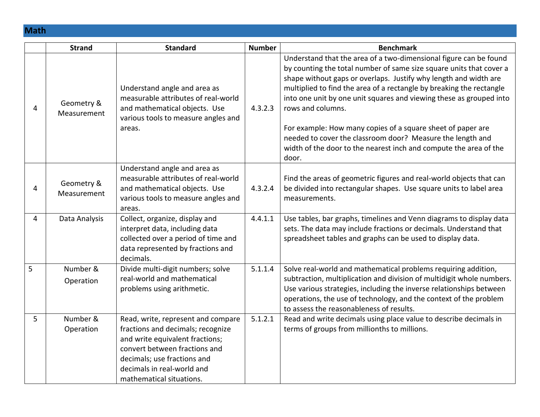**Math**

|   | <b>Strand</b>             | <b>Standard</b>                                                                                                                                                                                                                      | <b>Number</b> | <b>Benchmark</b>                                                                                                                                                                                                                                                                                                                                                                                                                                                                                                                                                                            |
|---|---------------------------|--------------------------------------------------------------------------------------------------------------------------------------------------------------------------------------------------------------------------------------|---------------|---------------------------------------------------------------------------------------------------------------------------------------------------------------------------------------------------------------------------------------------------------------------------------------------------------------------------------------------------------------------------------------------------------------------------------------------------------------------------------------------------------------------------------------------------------------------------------------------|
| 4 | Geometry &<br>Measurement | Understand angle and area as<br>measurable attributes of real-world<br>and mathematical objects. Use<br>various tools to measure angles and<br>areas.                                                                                | 4.3.2.3       | Understand that the area of a two-dimensional figure can be found<br>by counting the total number of same size square units that cover a<br>shape without gaps or overlaps. Justify why length and width are<br>multiplied to find the area of a rectangle by breaking the rectangle<br>into one unit by one unit squares and viewing these as grouped into<br>rows and columns.<br>For example: How many copies of a square sheet of paper are<br>needed to cover the classroom door? Measure the length and<br>width of the door to the nearest inch and compute the area of the<br>door. |
| 4 | Geometry &<br>Measurement | Understand angle and area as<br>measurable attributes of real-world<br>and mathematical objects. Use<br>various tools to measure angles and<br>areas.                                                                                | 4.3.2.4       | Find the areas of geometric figures and real-world objects that can<br>be divided into rectangular shapes. Use square units to label area<br>measurements.                                                                                                                                                                                                                                                                                                                                                                                                                                  |
| 4 | Data Analysis             | Collect, organize, display and<br>interpret data, including data<br>collected over a period of time and<br>data represented by fractions and<br>decimals.                                                                            | 4.4.1.1       | Use tables, bar graphs, timelines and Venn diagrams to display data<br>sets. The data may include fractions or decimals. Understand that<br>spreadsheet tables and graphs can be used to display data.                                                                                                                                                                                                                                                                                                                                                                                      |
| 5 | Number &<br>Operation     | Divide multi-digit numbers; solve<br>real-world and mathematical<br>problems using arithmetic.                                                                                                                                       | 5.1.1.4       | Solve real-world and mathematical problems requiring addition,<br>subtraction, multiplication and division of multidigit whole numbers.<br>Use various strategies, including the inverse relationships between<br>operations, the use of technology, and the context of the problem<br>to assess the reasonableness of results.                                                                                                                                                                                                                                                             |
| 5 | Number &<br>Operation     | Read, write, represent and compare<br>fractions and decimals; recognize<br>and write equivalent fractions;<br>convert between fractions and<br>decimals; use fractions and<br>decimals in real-world and<br>mathematical situations. | 5.1.2.1       | Read and write decimals using place value to describe decimals in<br>terms of groups from millionths to millions.                                                                                                                                                                                                                                                                                                                                                                                                                                                                           |